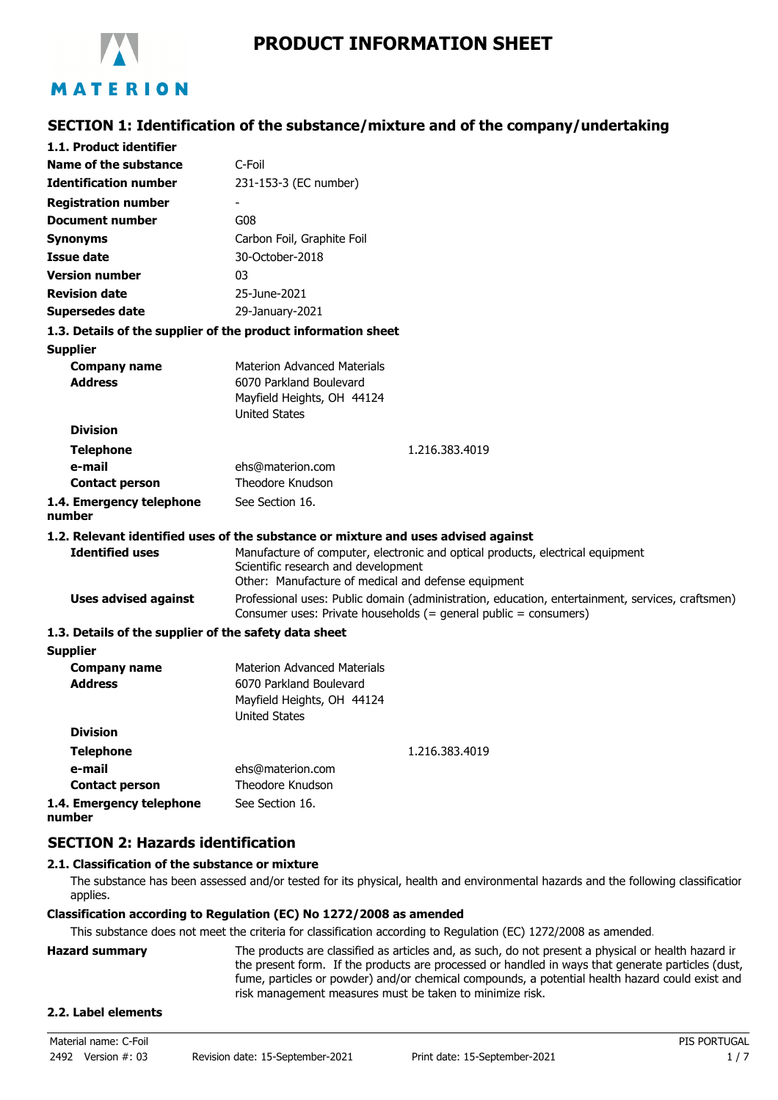

**SECTION 1: Identification of the substance/mixture and of the company/undertaking**

| 1.1. Product identifier                               |                                                                                                                                                                              |  |  |
|-------------------------------------------------------|------------------------------------------------------------------------------------------------------------------------------------------------------------------------------|--|--|
| Name of the substance                                 | C-Foil                                                                                                                                                                       |  |  |
| <b>Identification number</b>                          | 231-153-3 (EC number)                                                                                                                                                        |  |  |
| <b>Registration number</b>                            |                                                                                                                                                                              |  |  |
| <b>Document number</b>                                | G08                                                                                                                                                                          |  |  |
| <b>Synonyms</b>                                       | Carbon Foil, Graphite Foil                                                                                                                                                   |  |  |
| <b>Issue date</b>                                     | 30-October-2018                                                                                                                                                              |  |  |
| <b>Version number</b>                                 | 03                                                                                                                                                                           |  |  |
| <b>Revision date</b>                                  | 25-June-2021                                                                                                                                                                 |  |  |
| <b>Supersedes date</b>                                | 29-January-2021                                                                                                                                                              |  |  |
|                                                       | 1.3. Details of the supplier of the product information sheet                                                                                                                |  |  |
| <b>Supplier</b>                                       |                                                                                                                                                                              |  |  |
| <b>Company name</b><br><b>Address</b>                 | <b>Materion Advanced Materials</b><br>6070 Parkland Boulevard<br>Mayfield Heights, OH 44124<br><b>United States</b>                                                          |  |  |
| <b>Division</b>                                       |                                                                                                                                                                              |  |  |
| <b>Telephone</b>                                      | 1.216.383.4019                                                                                                                                                               |  |  |
| e-mail                                                | ehs@materion.com                                                                                                                                                             |  |  |
| <b>Contact person</b>                                 | Theodore Knudson                                                                                                                                                             |  |  |
| 1.4. Emergency telephone<br>number                    | See Section 16.                                                                                                                                                              |  |  |
|                                                       | 1.2. Relevant identified uses of the substance or mixture and uses advised against                                                                                           |  |  |
| <b>Identified uses</b>                                | Manufacture of computer, electronic and optical products, electrical equipment<br>Scientific research and development<br>Other: Manufacture of medical and defense equipment |  |  |
| <b>Uses advised against</b>                           | Professional uses: Public domain (administration, education, entertainment, services, craftsmen)<br>Consumer uses: Private households (= general public = consumers)         |  |  |
| 1.3. Details of the supplier of the safety data sheet |                                                                                                                                                                              |  |  |
| <b>Supplier</b>                                       |                                                                                                                                                                              |  |  |
| <b>Company name</b><br><b>Address</b>                 | <b>Materion Advanced Materials</b><br>6070 Parkland Boulevard<br>Mayfield Heights, OH 44124<br><b>United States</b>                                                          |  |  |
| <b>Division</b>                                       |                                                                                                                                                                              |  |  |
| <b>Telephone</b>                                      | 1.216.383.4019                                                                                                                                                               |  |  |
| e-mail                                                | ehs@materion.com                                                                                                                                                             |  |  |
| <b>Contact person</b>                                 | Theodore Knudson                                                                                                                                                             |  |  |
| 1.4. Emergency telephone<br>number                    | See Section 16.                                                                                                                                                              |  |  |

### **SECTION 2: Hazards identification**

### **2.1. Classification of the substance or mixture**

The substance has been assessed and/or tested for its physical, health and environmental hazards and the following classification applies.

#### **Classification according to Regulation (EC) No 1272/2008 as amended**

This substance does not meet the criteria for classification according to Regulation (EC) 1272/2008 as amended.

| Hazard summarv | The products are classified as articles and, as such, do not present a physical or health hazard ir |
|----------------|-----------------------------------------------------------------------------------------------------|
|                | the present form. If the products are processed or handled in ways that generate particles (dust,   |
|                | fume, particles or powder) and/or chemical compounds, a potential health hazard could exist and     |
|                | risk management measures must be taken to minimize risk.                                            |
|                |                                                                                                     |

#### **2.2. Label elements**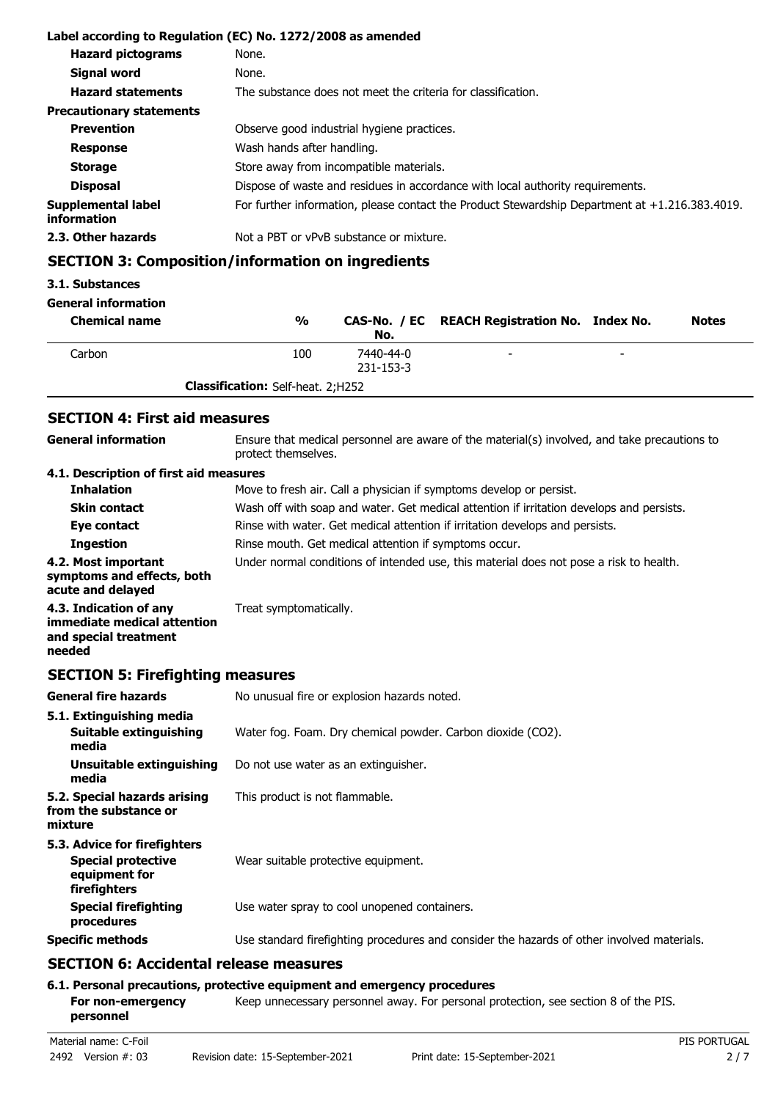| Label according to Regulation (EC) No. 1272/2008 as amended |                                                                                                   |  |
|-------------------------------------------------------------|---------------------------------------------------------------------------------------------------|--|
| <b>Hazard pictograms</b>                                    | None.                                                                                             |  |
| Signal word                                                 | None.                                                                                             |  |
| <b>Hazard statements</b>                                    | The substance does not meet the criteria for classification.                                      |  |
| <b>Precautionary statements</b>                             |                                                                                                   |  |
| <b>Prevention</b>                                           | Observe good industrial hygiene practices.                                                        |  |
| <b>Response</b>                                             | Wash hands after handling.                                                                        |  |
| <b>Storage</b>                                              | Store away from incompatible materials.                                                           |  |
| <b>Disposal</b>                                             | Dispose of waste and residues in accordance with local authority requirements.                    |  |
| <b>Supplemental label</b><br>information                    | For further information, please contact the Product Stewardship Department at $+1.216.383.4019$ . |  |
| 2.3. Other hazards                                          | Not a PBT or vPvB substance or mixture.                                                           |  |

# **SECTION 3: Composition/information on ingredients**

#### **3.1. Substances**

#### **General information**

| <b>Chemical name</b> | $\frac{0}{0}$                            | No.                    | CAS-No. / EC REACH Registration No. Index No. |                          | <b>Notes</b> |
|----------------------|------------------------------------------|------------------------|-----------------------------------------------|--------------------------|--------------|
| Carbon               | 100                                      | 7440-44-0<br>231-153-3 | $\overline{\phantom{0}}$                      | $\overline{\phantom{a}}$ |              |
|                      | <b>Classification:</b> Self-heat. 2;H252 |                        |                                               |                          |              |

### **SECTION 4: First aid measures**

| <b>General information</b>                                                               | Ensure that medical personnel are aware of the material(s) involved, and take precautions to<br>protect themselves. |  |  |
|------------------------------------------------------------------------------------------|---------------------------------------------------------------------------------------------------------------------|--|--|
| 4.1. Description of first aid measures                                                   |                                                                                                                     |  |  |
| <b>Inhalation</b>                                                                        | Move to fresh air. Call a physician if symptoms develop or persist.                                                 |  |  |
| <b>Skin contact</b>                                                                      | Wash off with soap and water. Get medical attention if irritation develops and persists.                            |  |  |
| Eye contact                                                                              | Rinse with water. Get medical attention if irritation develops and persists.                                        |  |  |
| <b>Ingestion</b>                                                                         | Rinse mouth. Get medical attention if symptoms occur.                                                               |  |  |
| 4.2. Most important<br>symptoms and effects, both<br>acute and delayed                   | Under normal conditions of intended use, this material does not pose a risk to health.                              |  |  |
| 4.3. Indication of any<br>immediate medical attention<br>and special treatment<br>needed | Treat symptomatically.                                                                                              |  |  |

# **SECTION 5: Firefighting measures**

| <b>General fire hazards</b>                                                                | No unusual fire or explosion hazards noted.                                                |  |
|--------------------------------------------------------------------------------------------|--------------------------------------------------------------------------------------------|--|
| 5.1. Extinguishing media<br>Suitable extinguishing<br>media                                | Water fog. Foam. Dry chemical powder. Carbon dioxide (CO2).                                |  |
| Unsuitable extinguishing<br>media                                                          | Do not use water as an extinguisher.                                                       |  |
| 5.2. Special hazards arising<br>from the substance or<br>mixture                           | This product is not flammable.                                                             |  |
| 5.3. Advice for firefighters<br><b>Special protective</b><br>equipment for<br>firefighters | Wear suitable protective equipment.                                                        |  |
| <b>Special firefighting</b><br>procedures                                                  | Use water spray to cool unopened containers.                                               |  |
| <b>Specific methods</b>                                                                    | Use standard firefighting procedures and consider the hazards of other involved materials. |  |
| $CPCTTANC.$ A saidental valence means una                                                  |                                                                                            |  |

### **SECTION 6: Accidental release measures**

#### **6.1. Personal precautions, protective equipment and emergency procedures**

For non-emergency **Keep unnecessary personnel away. For personal protection, see section 8 of the PIS. personnel**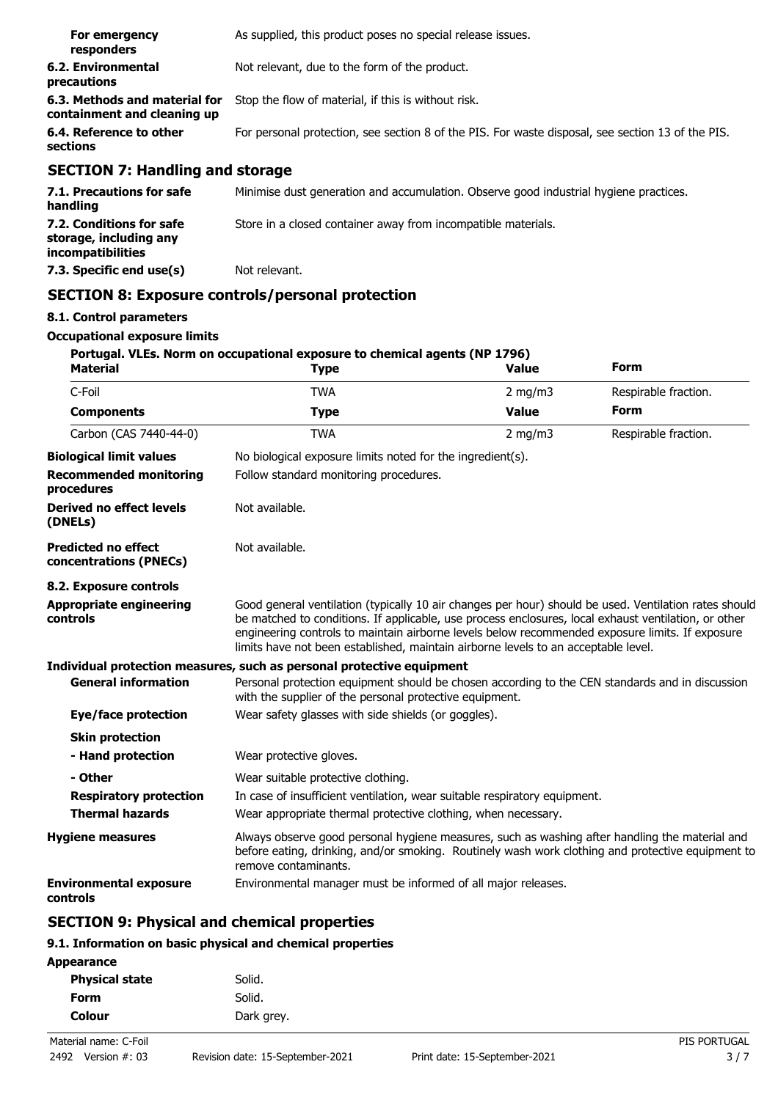| As supplied, this product poses no special release issues.<br>For emergency<br>responders |                                                                                                   |
|-------------------------------------------------------------------------------------------|---------------------------------------------------------------------------------------------------|
| <b>6.2. Environmental</b><br>precautions                                                  | Not relevant, due to the form of the product.                                                     |
| 6.3. Methods and material for<br>containment and cleaning up                              | Stop the flow of material, if this is without risk.                                               |
| 6.4. Reference to other<br>sections                                                       | For personal protection, see section 8 of the PIS. For waste disposal, see section 13 of the PIS. |

## **SECTION 7: Handling and storage**

| 7.1. Precautions for safe<br>handling                                   | Minimise dust generation and accumulation. Observe good industrial hygiene practices. |
|-------------------------------------------------------------------------|---------------------------------------------------------------------------------------|
| 7.2. Conditions for safe<br>storage, including any<br>incompatibilities | Store in a closed container away from incompatible materials.                         |
| 7.3. Specific end use(s)                                                | Not relevant.                                                                         |

# **SECTION 8: Exposure controls/personal protection**

#### **8.1. Control parameters**

#### **Occupational exposure limits**

#### **Portugal. VLEs. Norm on occupational exposure to chemical agents (NP 1796)**

| <b>Material</b>                                      | <b>Type</b>                                                                                                                                                                                                                                                                                                                                                                                            | <b>Value</b> | <b>Form</b>          |  |
|------------------------------------------------------|--------------------------------------------------------------------------------------------------------------------------------------------------------------------------------------------------------------------------------------------------------------------------------------------------------------------------------------------------------------------------------------------------------|--------------|----------------------|--|
| C-Foil                                               | <b>TWA</b>                                                                                                                                                                                                                                                                                                                                                                                             | 2 mg/m $3$   | Respirable fraction. |  |
| <b>Components</b>                                    | <b>Type</b>                                                                                                                                                                                                                                                                                                                                                                                            | <b>Value</b> | <b>Form</b>          |  |
| Carbon (CAS 7440-44-0)                               | <b>TWA</b><br>$2$ mg/m $3$                                                                                                                                                                                                                                                                                                                                                                             |              | Respirable fraction. |  |
| <b>Biological limit values</b>                       | No biological exposure limits noted for the ingredient(s).                                                                                                                                                                                                                                                                                                                                             |              |                      |  |
| <b>Recommended monitoring</b><br>procedures          | Follow standard monitoring procedures.                                                                                                                                                                                                                                                                                                                                                                 |              |                      |  |
| Derived no effect levels<br>(DNELs)                  | Not available.                                                                                                                                                                                                                                                                                                                                                                                         |              |                      |  |
| <b>Predicted no effect</b><br>concentrations (PNECs) | Not available.                                                                                                                                                                                                                                                                                                                                                                                         |              |                      |  |
| 8.2. Exposure controls                               |                                                                                                                                                                                                                                                                                                                                                                                                        |              |                      |  |
| <b>Appropriate engineering</b><br>controls           | Good general ventilation (typically 10 air changes per hour) should be used. Ventilation rates should<br>be matched to conditions. If applicable, use process enclosures, local exhaust ventilation, or other<br>engineering controls to maintain airborne levels below recommended exposure limits. If exposure<br>limits have not been established, maintain airborne levels to an acceptable level. |              |                      |  |
|                                                      | Individual protection measures, such as personal protective equipment                                                                                                                                                                                                                                                                                                                                  |              |                      |  |
| <b>General information</b>                           | Personal protection equipment should be chosen according to the CEN standards and in discussion<br>with the supplier of the personal protective equipment.                                                                                                                                                                                                                                             |              |                      |  |
| Eye/face protection                                  | Wear safety glasses with side shields (or goggles).                                                                                                                                                                                                                                                                                                                                                    |              |                      |  |
| <b>Skin protection</b>                               |                                                                                                                                                                                                                                                                                                                                                                                                        |              |                      |  |
| - Hand protection                                    | Wear protective gloves.                                                                                                                                                                                                                                                                                                                                                                                |              |                      |  |
| - Other                                              | Wear suitable protective clothing.                                                                                                                                                                                                                                                                                                                                                                     |              |                      |  |
| <b>Respiratory protection</b>                        | In case of insufficient ventilation, wear suitable respiratory equipment.                                                                                                                                                                                                                                                                                                                              |              |                      |  |
| <b>Thermal hazards</b>                               | Wear appropriate thermal protective clothing, when necessary.                                                                                                                                                                                                                                                                                                                                          |              |                      |  |
| <b>Hygiene measures</b>                              | Always observe good personal hygiene measures, such as washing after handling the material and<br>before eating, drinking, and/or smoking. Routinely wash work clothing and protective equipment to<br>remove contaminants.                                                                                                                                                                            |              |                      |  |
| <b>Environmental exposure</b><br>controls            | Environmental manager must be informed of all major releases.                                                                                                                                                                                                                                                                                                                                          |              |                      |  |

# **SECTION 9: Physical and chemical properties**

#### **9.1. Information on basic physical and chemical properties**

| Dark grey. |
|------------|
|            |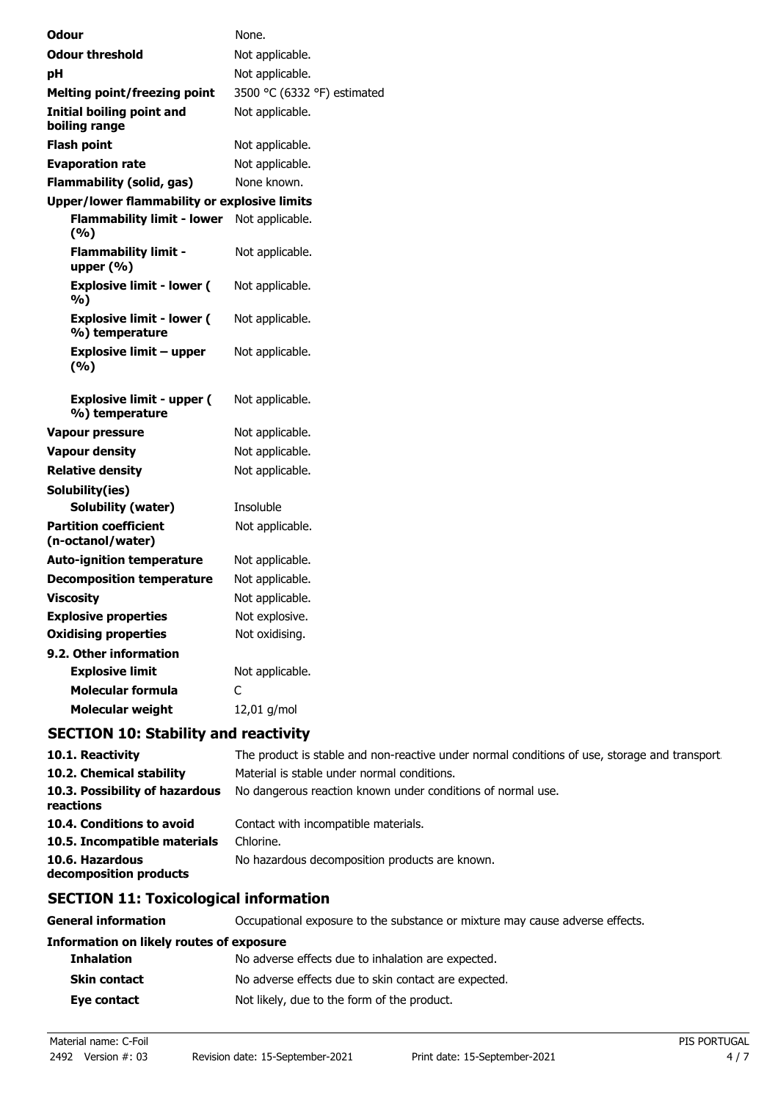| Odour                                              | None.                       |
|----------------------------------------------------|-----------------------------|
| <b>Odour threshold</b>                             | Not applicable.             |
| pH                                                 | Not applicable.             |
| <b>Melting point/freezing point</b>                | 3500 °C (6332 °F) estimated |
| Initial boiling point and<br>boiling range         | Not applicable.             |
| <b>Flash point</b>                                 | Not applicable.             |
| <b>Evaporation rate</b>                            | Not applicable.             |
| Flammability (solid, gas)                          | None known.                 |
| Upper/lower flammability or explosive limits       |                             |
| Flammability limit - lower Not applicable.<br>(%)  |                             |
| <b>Flammability limit -</b><br>upper $(% )$        | Not applicable.             |
| <b>Explosive limit - lower (</b><br>%)             | Not applicable.             |
| <b>Explosive limit - lower (</b><br>%) temperature | Not applicable.             |
| <b>Explosive limit - upper</b><br>(%)              | Not applicable.             |
| <b>Explosive limit - upper (</b><br>%) temperature | Not applicable.             |
| <b>Vapour pressure</b>                             | Not applicable.             |
| <b>Vapour density</b>                              | Not applicable.             |
| <b>Relative density</b>                            | Not applicable.             |
| Solubility(ies)                                    |                             |
| Solubility (water)                                 | Insoluble                   |
| <b>Partition coefficient</b><br>(n-octanol/water)  | Not applicable.             |
| <b>Auto-ignition temperature</b>                   | Not applicable.             |
| <b>Decomposition temperature</b>                   | Not applicable.             |
| <b>Viscosity</b>                                   | Not applicable.             |
| <b>Explosive properties</b>                        | Not explosive.              |
| <b>Oxidising properties</b>                        | Not oxidising.              |
| 9.2. Other information                             |                             |
| <b>Explosive limit</b>                             | Not applicable.             |
| <b>Molecular formula</b>                           | C                           |
| <b>Molecular weight</b>                            | 12,01 g/mol                 |
| <b>SECTION 10: Stability and reactivity</b>        |                             |

| 10.1. Reactivity                            | The product is stable and non-reactive under normal conditions of use, storage and transport. |
|---------------------------------------------|-----------------------------------------------------------------------------------------------|
| 10.2. Chemical stability                    | Material is stable under normal conditions.                                                   |
| 10.3. Possibility of hazardous<br>reactions | No dangerous reaction known under conditions of normal use.                                   |
| 10.4. Conditions to avoid                   | Contact with incompatible materials.                                                          |
| 10.5. Incompatible materials                | Chlorine.                                                                                     |
| 10.6. Hazardous<br>decomposition products   | No hazardous decomposition products are known.                                                |

# **SECTION 11: Toxicological information**

| <b>General information</b>               | Occupational exposure to the substance or mixture may cause adverse effects. |  |  |  |
|------------------------------------------|------------------------------------------------------------------------------|--|--|--|
| Information on likely routes of exposure |                                                                              |  |  |  |
| <b>Inhalation</b>                        | No adverse effects due to inhalation are expected.                           |  |  |  |
| <b>Skin contact</b>                      | No adverse effects due to skin contact are expected.                         |  |  |  |
| Eye contact                              | Not likely, due to the form of the product.                                  |  |  |  |
|                                          |                                                                              |  |  |  |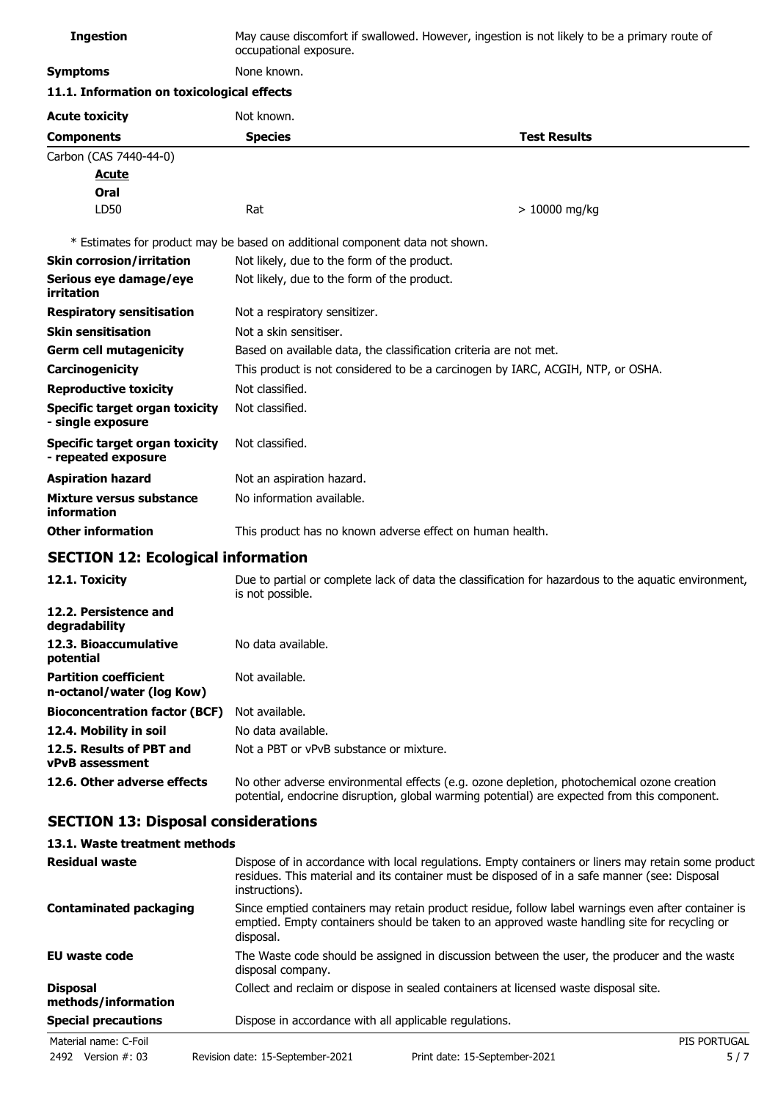| <b>Ingestion</b>                                             | May cause discomfort if swallowed. However, ingestion is not likely to be a primary route of<br>occupational exposure. |                                                                                                                                                                                                      |  |
|--------------------------------------------------------------|------------------------------------------------------------------------------------------------------------------------|------------------------------------------------------------------------------------------------------------------------------------------------------------------------------------------------------|--|
| <b>Symptoms</b>                                              | None known.                                                                                                            |                                                                                                                                                                                                      |  |
| 11.1. Information on toxicological effects                   |                                                                                                                        |                                                                                                                                                                                                      |  |
| <b>Acute toxicity</b>                                        | Not known.                                                                                                             |                                                                                                                                                                                                      |  |
| <b>Components</b>                                            | <b>Species</b>                                                                                                         | <b>Test Results</b>                                                                                                                                                                                  |  |
| Carbon (CAS 7440-44-0)                                       |                                                                                                                        |                                                                                                                                                                                                      |  |
| <b>Acute</b>                                                 |                                                                                                                        |                                                                                                                                                                                                      |  |
| Oral                                                         |                                                                                                                        |                                                                                                                                                                                                      |  |
| LD50                                                         | Rat                                                                                                                    | $>10000$ mg/kg                                                                                                                                                                                       |  |
|                                                              | * Estimates for product may be based on additional component data not shown.                                           |                                                                                                                                                                                                      |  |
| <b>Skin corrosion/irritation</b>                             | Not likely, due to the form of the product.                                                                            |                                                                                                                                                                                                      |  |
| Serious eye damage/eye<br>irritation                         | Not likely, due to the form of the product.                                                                            |                                                                                                                                                                                                      |  |
| <b>Respiratory sensitisation</b>                             | Not a respiratory sensitizer.                                                                                          |                                                                                                                                                                                                      |  |
| <b>Skin sensitisation</b>                                    | Not a skin sensitiser.                                                                                                 |                                                                                                                                                                                                      |  |
| <b>Germ cell mutagenicity</b>                                | Based on available data, the classification criteria are not met.                                                      |                                                                                                                                                                                                      |  |
| Carcinogenicity                                              | This product is not considered to be a carcinogen by IARC, ACGIH, NTP, or OSHA.                                        |                                                                                                                                                                                                      |  |
| <b>Reproductive toxicity</b>                                 | Not classified.                                                                                                        |                                                                                                                                                                                                      |  |
| <b>Specific target organ toxicity</b><br>- single exposure   | Not classified.                                                                                                        |                                                                                                                                                                                                      |  |
| <b>Specific target organ toxicity</b><br>- repeated exposure | Not classified.                                                                                                        |                                                                                                                                                                                                      |  |
| <b>Aspiration hazard</b>                                     | Not an aspiration hazard.                                                                                              |                                                                                                                                                                                                      |  |
| Mixture versus substance<br>information                      | No information available.                                                                                              |                                                                                                                                                                                                      |  |
| <b>Other information</b>                                     | This product has no known adverse effect on human health.                                                              |                                                                                                                                                                                                      |  |
| <b>SECTION 12: Ecological information</b>                    |                                                                                                                        |                                                                                                                                                                                                      |  |
| 12.1. Toxicity                                               | is not possible.                                                                                                       | Due to partial or complete lack of data the classification for hazardous to the aquatic environment,                                                                                                 |  |
| 12.2. Persistence and<br>degradability                       |                                                                                                                        |                                                                                                                                                                                                      |  |
| 12.3. Bioaccumulative<br>potential                           | No data available.                                                                                                     |                                                                                                                                                                                                      |  |
| <b>Partition coefficient</b><br>n-octanol/water (log Kow)    | Not available.                                                                                                         |                                                                                                                                                                                                      |  |
| <b>Bioconcentration factor (BCF)</b>                         | Not available.                                                                                                         |                                                                                                                                                                                                      |  |
| 12.4. Mobility in soil                                       | No data available.                                                                                                     |                                                                                                                                                                                                      |  |
| 12.5. Results of PBT and<br><b>vPvB</b> assessment           | Not a PBT or vPvB substance or mixture.                                                                                |                                                                                                                                                                                                      |  |
| 12.6. Other adverse effects                                  |                                                                                                                        | No other adverse environmental effects (e.g. ozone depletion, photochemical ozone creation<br>potential, endocrine disruption, global warming potential) are expected from this component.           |  |
| <b>SECTION 13: Disposal considerations</b>                   |                                                                                                                        |                                                                                                                                                                                                      |  |
| 13.1. Waste treatment methods                                |                                                                                                                        |                                                                                                                                                                                                      |  |
| <b>Residual waste</b>                                        | instructions).                                                                                                         | Dispose of in accordance with local regulations. Empty containers or liners may retain some product<br>residues. This material and its container must be disposed of in a safe manner (see: Disposal |  |
| <b>Contaminated packaging</b>                                | disposal.                                                                                                              | Since emptied containers may retain product residue, follow label warnings even after container is<br>emptied. Empty containers should be taken to an approved waste handling site for recycling or  |  |
| <b>EU waste code</b>                                         | disposal company.                                                                                                      | The Waste code should be assigned in discussion between the user, the producer and the waste                                                                                                         |  |

| Disposal | Collect and reclaim or dispose in sealed containers at licensed waste disposal site. |
|----------|--------------------------------------------------------------------------------------|

**methods/information Special precautions** Dispose in accordance with all applicable regulations.

Material name: C-Foil PIS PORTUGAL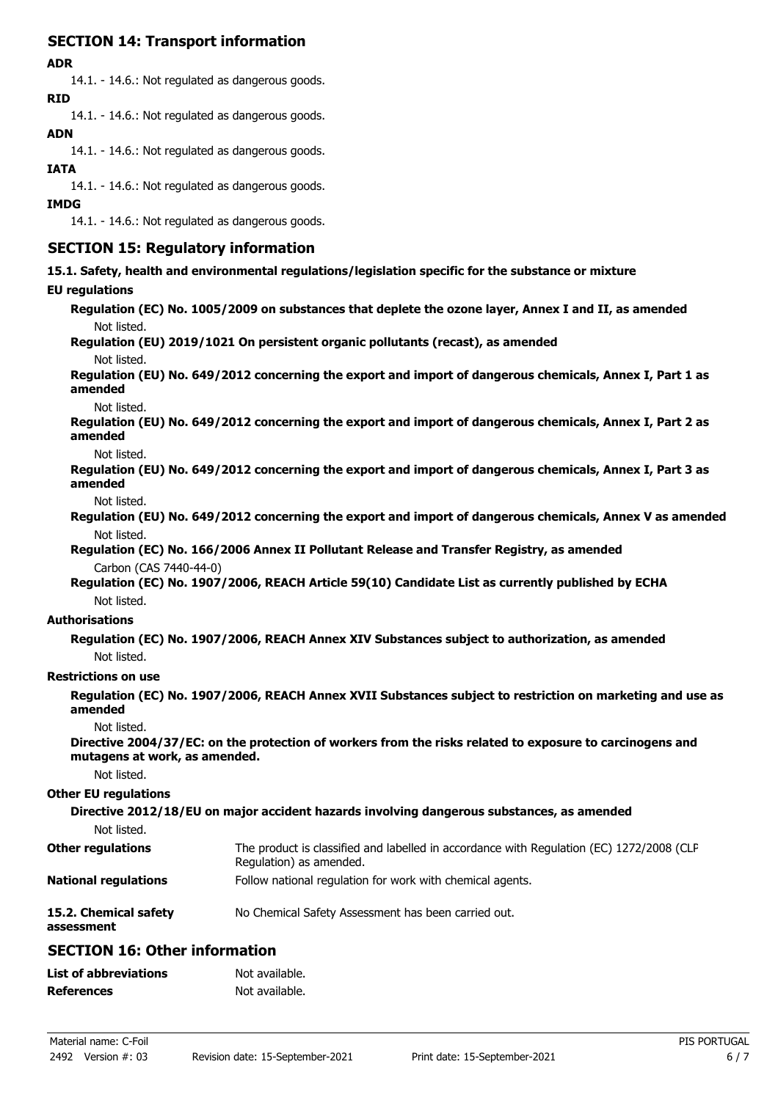# **SECTION 14: Transport information**

#### **ADR**

14.1. - 14.6.: Not regulated as dangerous goods. **RID**

14.1. - 14.6.: Not regulated as dangerous goods.

# **ADN**

14.1. - 14.6.: Not regulated as dangerous goods.

#### **IATA**

14.1. - 14.6.: Not regulated as dangerous goods.

#### **IMDG**

14.1. - 14.6.: Not regulated as dangerous goods.

# **SECTION 15: Regulatory information**

**15.1. Safety, health and environmental regulations/legislation specific for the substance or mixture**

#### **EU regulat**

| EU regulations                      |                                                                                                                     |
|-------------------------------------|---------------------------------------------------------------------------------------------------------------------|
|                                     | Regulation (EC) No. 1005/2009 on substances that deplete the ozone layer, Annex I and II, as amended                |
| Not listed.                         |                                                                                                                     |
| Not listed.                         | Regulation (EU) 2019/1021 On persistent organic pollutants (recast), as amended                                     |
| amended                             | Regulation (EU) No. 649/2012 concerning the export and import of dangerous chemicals, Annex I, Part 1 as            |
| Not listed.                         |                                                                                                                     |
| amended                             | Regulation (EU) No. 649/2012 concerning the export and import of dangerous chemicals, Annex I, Part 2 as            |
| Not listed.                         |                                                                                                                     |
| amended                             | Regulation (EU) No. 649/2012 concerning the export and import of dangerous chemicals, Annex I, Part 3 as            |
| Not listed.                         |                                                                                                                     |
| Not listed.                         | Regulation (EU) No. 649/2012 concerning the export and import of dangerous chemicals, Annex V as amended            |
|                                     | Regulation (EC) No. 166/2006 Annex II Pollutant Release and Transfer Registry, as amended                           |
| Carbon (CAS 7440-44-0)              |                                                                                                                     |
|                                     | Regulation (EC) No. 1907/2006, REACH Article 59(10) Candidate List as currently published by ECHA                   |
| Not listed.                         |                                                                                                                     |
| <b>Authorisations</b>               |                                                                                                                     |
|                                     | Regulation (EC) No. 1907/2006, REACH Annex XIV Substances subject to authorization, as amended                      |
| Not listed.                         |                                                                                                                     |
| <b>Restrictions on use</b>          |                                                                                                                     |
| amended                             | Regulation (EC) No. 1907/2006, REACH Annex XVII Substances subject to restriction on marketing and use as           |
| Not listed.                         |                                                                                                                     |
| mutagens at work, as amended.       | Directive 2004/37/EC: on the protection of workers from the risks related to exposure to carcinogens and            |
| Not listed.                         |                                                                                                                     |
| <b>Other EU regulations</b>         |                                                                                                                     |
|                                     | Directive 2012/18/EU on major accident hazards involving dangerous substances, as amended                           |
| Not listed.                         |                                                                                                                     |
| <b>Other regulations</b>            | The product is classified and labelled in accordance with Regulation (EC) 1272/2008 (CLP<br>Regulation) as amended. |
| <b>National regulations</b>         | Follow national regulation for work with chemical agents.                                                           |
| 15.2. Chemical safety<br>assessment | No Chemical Safety Assessment has been carried out.                                                                 |

# **SECTION 16: Other information**

| <b>List of abbreviations</b> | Not available. |
|------------------------------|----------------|
| <b>References</b>            | Not available. |